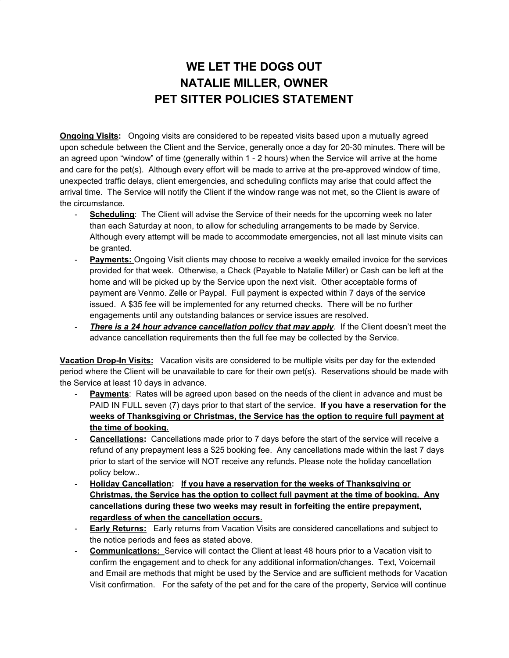## **WE LET THE DOGS OUT NATALIE MILLER, OWNER PET SITTER POLICIES STATEMENT**

**Ongoing Visits:** Ongoing visits are considered to be repeated visits based upon a mutually agreed upon schedule between the Client and the Service, generally once a day for 20-30 minutes. There will be an agreed upon "window" of time (generally within 1 - 2 hours) when the Service will arrive at the home and care for the pet(s). Although every effort will be made to arrive at the pre-approved window of time, unexpected traffic delays, client emergencies, and scheduling conflicts may arise that could affect the arrival time. The Service will notify the Client if the window range was not met, so the Client is aware of the circumstance.

- **Scheduling**: The Client will advise the Service of their needs for the upcoming week no later than each Saturday at noon, to allow for scheduling arrangements to be made by Service. Although every attempt will be made to accommodate emergencies, not all last minute visits can be granted.
- **Payments:** Ongoing Visit clients may choose to receive a weekly emailed invoice for the services provided for that week. Otherwise, a Check (Payable to Natalie Miller) or Cash can be left at the home and will be picked up by the Service upon the next visit. Other acceptable forms of payment are Venmo. Zelle or Paypal. Full payment is expected within 7 days of the service issued. A \$35 fee will be implemented for any returned checks. There will be no further engagements until any outstanding balances or service issues are resolved.
- *There is a 24 hour advance cancellation policy that may apply*. If the Client doesn't meet the advance cancellation requirements then the full fee may be collected by the Service.

**Vacation Drop-In Visits:** Vacation visits are considered to be multiple visits per day for the extended period where the Client will be unavailable to care for their own pet(s). Reservations should be made with the Service at least 10 days in advance.

- **Payments**: Rates will be agreed upon based on the needs of the client in advance and must be PAID IN FULL seven (7) days prior to that start of the service. **If you have a reservation for the weeks of Thanksgiving or Christmas, the Service has the option to require full payment at the time of booking.**
- **Cancellations:** Cancellations made prior to 7 days before the start of the service will receive a refund of any prepayment less a \$25 booking fee. Any cancellations made within the last 7 days prior to start of the service will NOT receive any refunds. Please note the holiday cancellation policy below..
- **Holiday Cancellation: If you have a reservation for the weeks of Thanksgiving or Christmas, the Service has the option to collect full payment at the time of booking. Any cancellations during these two weeks may result in forfeiting the entire prepayment, regardless of when the cancellation occurs.**
- **Early Returns:** Early returns from Vacation Visits are considered cancellations and subject to the notice periods and fees as stated above.
- **Communications:** Service will contact the Client at least 48 hours prior to a Vacation visit to confirm the engagement and to check for any additional information/changes. Text, Voicemail and Email are methods that might be used by the Service and are sufficient methods for Vacation Visit confirmation. For the safety of the pet and for the care of the property, Service will continue